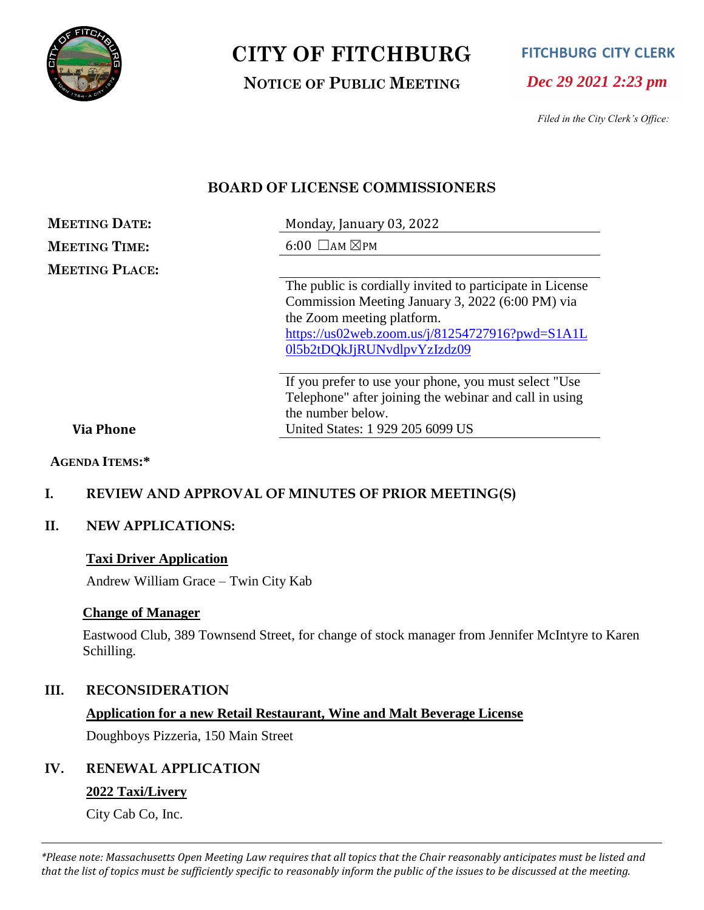

# **CITY OF FITCHBURG**

**NOTICE OF PUBLIC MEETING**

**FITCHBURG CITY CLERK** 

*Dec 29 2021 2:23 pm*

*Filed in the City Clerk's Office:*

# **BOARD OF LICENSE COMMISSIONERS**

| <b>MEETING DATE:</b>  | Monday, January 03, 2022                                  |
|-----------------------|-----------------------------------------------------------|
| <b>MEETING TIME:</b>  | $6:00$ $\Box$ AM $\boxtimes$ PM                           |
| <b>MEETING PLACE:</b> |                                                           |
|                       | The public is cordially invited to participate in License |
|                       | Commission Meeting January 3, 2022 (6:00 PM) via          |
|                       | the Zoom meeting platform.                                |
|                       | https://us02web.zoom.us/j/81254727916?pwd=S1A1L           |
|                       | 015b2tDQkJjRUNvdlpvYzIzdz09                               |
|                       | If you prefer to use your phone, you must select "Use"    |
|                       | Telephone" after joining the webinar and call in using    |
|                       | the number below.                                         |
| <b>Via Phone</b>      | United States: 1 929 205 6099 US                          |

#### **Via Phone**

**AGENDA ITEMS:\***

### **I. REVIEW AND APPROVAL OF MINUTES OF PRIOR MEETING(S)**

#### **II. NEW APPLICATIONS:**

#### **Taxi Driver Application**

Andrew William Grace – Twin City Kab

#### **Change of Manager**

Eastwood Club, 389 Townsend Street, for change of stock manager from Jennifer McIntyre to Karen Schilling.

#### **III. RECONSIDERATION**

#### **Application for a new Retail Restaurant, Wine and Malt Beverage License**

Doughboys Pizzeria, 150 Main Street

#### **IV. RENEWAL APPLICATION**

#### **2022 Taxi/Livery**

City Cab Co, Inc.

*\*Please note: Massachusetts Open Meeting Law requires that all topics that the Chair reasonably anticipates must be listed and that the list of topics must be sufficiently specific to reasonably inform the public of the issues to be discussed at the meeting.*